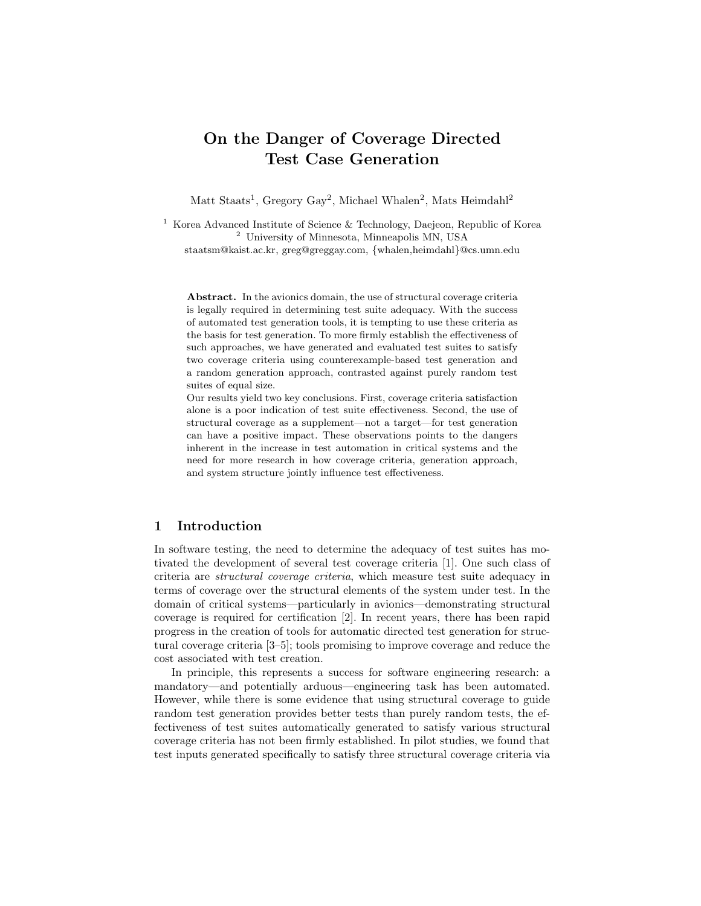# On the Danger of Coverage Directed Test Case Generation

Matt Staats<sup>1</sup>, Gregory Gay<sup>2</sup>, Michael Whalen<sup>2</sup>, Mats Heimdahl<sup>2</sup>

<sup>1</sup> Korea Advanced Institute of Science & Technology, Daejeon, Republic of Korea <sup>2</sup> University of Minnesota, Minneapolis MN, USA staatsm@kaist.ac.kr, greg@greggay.com, {whalen,heimdahl}@cs.umn.edu

Abstract. In the avionics domain, the use of structural coverage criteria is legally required in determining test suite adequacy. With the success of automated test generation tools, it is tempting to use these criteria as the basis for test generation. To more firmly establish the effectiveness of such approaches, we have generated and evaluated test suites to satisfy two coverage criteria using counterexample-based test generation and a random generation approach, contrasted against purely random test suites of equal size.

Our results yield two key conclusions. First, coverage criteria satisfaction alone is a poor indication of test suite effectiveness. Second, the use of structural coverage as a supplement—not a target—for test generation can have a positive impact. These observations points to the dangers inherent in the increase in test automation in critical systems and the need for more research in how coverage criteria, generation approach, and system structure jointly influence test effectiveness.

# 1 Introduction

In software testing, the need to determine the adequacy of test suites has motivated the development of several test coverage criteria [1]. One such class of criteria are structural coverage criteria, which measure test suite adequacy in terms of coverage over the structural elements of the system under test. In the domain of critical systems—particularly in avionics—demonstrating structural coverage is required for certification [2]. In recent years, there has been rapid progress in the creation of tools for automatic directed test generation for structural coverage criteria [3–5]; tools promising to improve coverage and reduce the cost associated with test creation.

In principle, this represents a success for software engineering research: a mandatory—and potentially arduous—engineering task has been automated. However, while there is some evidence that using structural coverage to guide random test generation provides better tests than purely random tests, the effectiveness of test suites automatically generated to satisfy various structural coverage criteria has not been firmly established. In pilot studies, we found that test inputs generated specifically to satisfy three structural coverage criteria via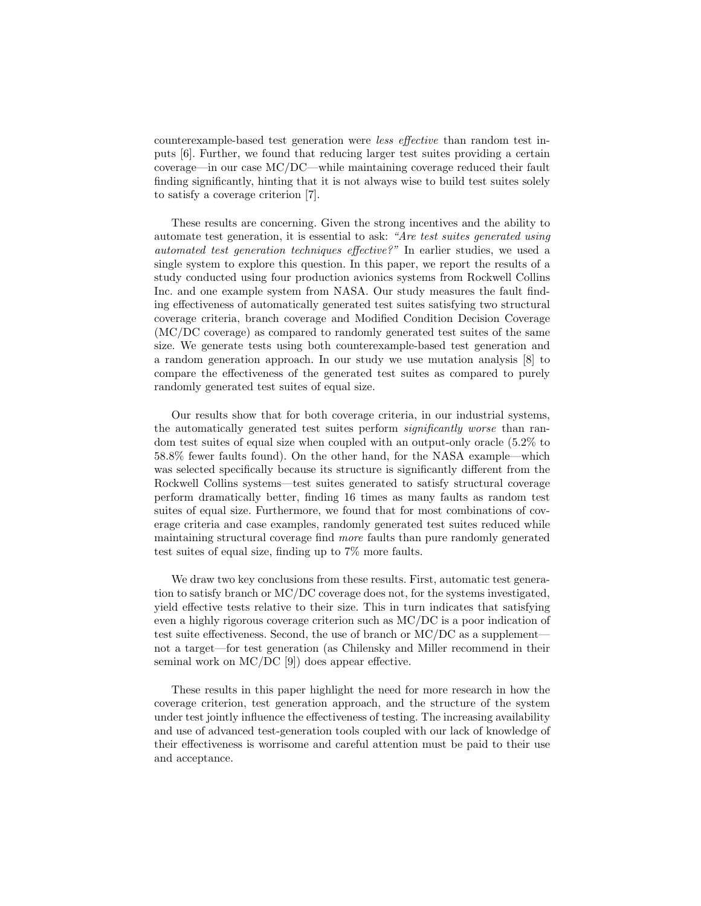counterexample-based test generation were less effective than random test inputs [6]. Further, we found that reducing larger test suites providing a certain coverage—in our case MC/DC—while maintaining coverage reduced their fault finding significantly, hinting that it is not always wise to build test suites solely to satisfy a coverage criterion [7].

These results are concerning. Given the strong incentives and the ability to automate test generation, it is essential to ask: "Are test suites generated using automated test generation techniques effective?" In earlier studies, we used a single system to explore this question. In this paper, we report the results of a study conducted using four production avionics systems from Rockwell Collins Inc. and one example system from NASA. Our study measures the fault finding effectiveness of automatically generated test suites satisfying two structural coverage criteria, branch coverage and Modified Condition Decision Coverage (MC/DC coverage) as compared to randomly generated test suites of the same size. We generate tests using both counterexample-based test generation and a random generation approach. In our study we use mutation analysis [8] to compare the effectiveness of the generated test suites as compared to purely randomly generated test suites of equal size.

Our results show that for both coverage criteria, in our industrial systems, the automatically generated test suites perform *significantly worse* than random test suites of equal size when coupled with an output-only oracle (5.2% to 58.8% fewer faults found). On the other hand, for the NASA example—which was selected specifically because its structure is significantly different from the Rockwell Collins systems—test suites generated to satisfy structural coverage perform dramatically better, finding 16 times as many faults as random test suites of equal size. Furthermore, we found that for most combinations of coverage criteria and case examples, randomly generated test suites reduced while maintaining structural coverage find more faults than pure randomly generated test suites of equal size, finding up to 7% more faults.

We draw two key conclusions from these results. First, automatic test generation to satisfy branch or MC/DC coverage does not, for the systems investigated, yield effective tests relative to their size. This in turn indicates that satisfying even a highly rigorous coverage criterion such as MC/DC is a poor indication of test suite effectiveness. Second, the use of branch or MC/DC as a supplement not a target—for test generation (as Chilensky and Miller recommend in their seminal work on MC/DC [9]) does appear effective.

These results in this paper highlight the need for more research in how the coverage criterion, test generation approach, and the structure of the system under test jointly influence the effectiveness of testing. The increasing availability and use of advanced test-generation tools coupled with our lack of knowledge of their effectiveness is worrisome and careful attention must be paid to their use and acceptance.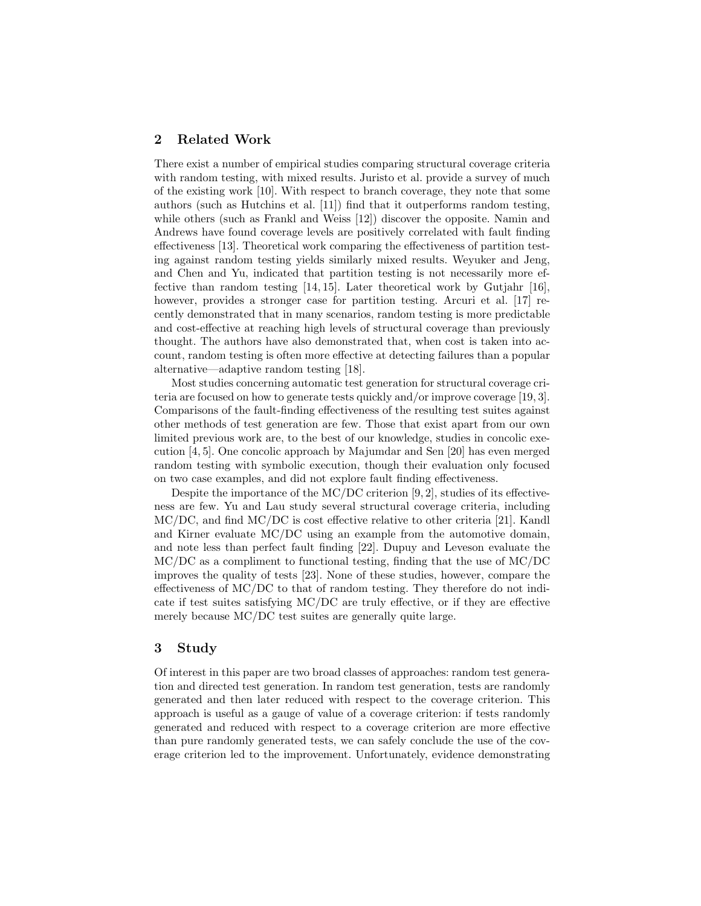# 2 Related Work

There exist a number of empirical studies comparing structural coverage criteria with random testing, with mixed results. Juristo et al. provide a survey of much of the existing work [10]. With respect to branch coverage, they note that some authors (such as Hutchins et al. [11]) find that it outperforms random testing, while others (such as Frankl and Weiss [12]) discover the opposite. Namin and Andrews have found coverage levels are positively correlated with fault finding effectiveness [13]. Theoretical work comparing the effectiveness of partition testing against random testing yields similarly mixed results. Weyuker and Jeng, and Chen and Yu, indicated that partition testing is not necessarily more effective than random testing [14, 15]. Later theoretical work by Gutjahr [16], however, provides a stronger case for partition testing. Arcuri et al. [17] recently demonstrated that in many scenarios, random testing is more predictable and cost-effective at reaching high levels of structural coverage than previously thought. The authors have also demonstrated that, when cost is taken into account, random testing is often more effective at detecting failures than a popular alternative—adaptive random testing [18].

Most studies concerning automatic test generation for structural coverage criteria are focused on how to generate tests quickly and/or improve coverage [19, 3]. Comparisons of the fault-finding effectiveness of the resulting test suites against other methods of test generation are few. Those that exist apart from our own limited previous work are, to the best of our knowledge, studies in concolic execution [4, 5]. One concolic approach by Majumdar and Sen [20] has even merged random testing with symbolic execution, though their evaluation only focused on two case examples, and did not explore fault finding effectiveness.

Despite the importance of the MC/DC criterion [9, 2], studies of its effectiveness are few. Yu and Lau study several structural coverage criteria, including MC/DC, and find MC/DC is cost effective relative to other criteria [21]. Kandl and Kirner evaluate MC/DC using an example from the automotive domain, and note less than perfect fault finding [22]. Dupuy and Leveson evaluate the MC/DC as a compliment to functional testing, finding that the use of MC/DC improves the quality of tests [23]. None of these studies, however, compare the effectiveness of MC/DC to that of random testing. They therefore do not indicate if test suites satisfying MC/DC are truly effective, or if they are effective merely because MC/DC test suites are generally quite large.

# 3 Study

Of interest in this paper are two broad classes of approaches: random test generation and directed test generation. In random test generation, tests are randomly generated and then later reduced with respect to the coverage criterion. This approach is useful as a gauge of value of a coverage criterion: if tests randomly generated and reduced with respect to a coverage criterion are more effective than pure randomly generated tests, we can safely conclude the use of the coverage criterion led to the improvement. Unfortunately, evidence demonstrating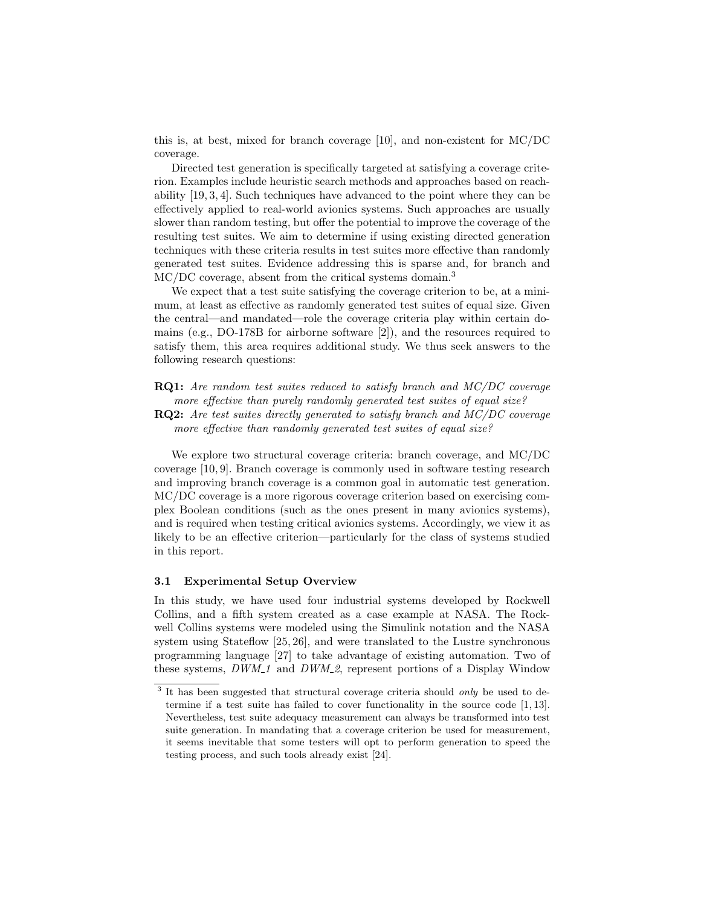this is, at best, mixed for branch coverage [10], and non-existent for MC/DC coverage.

Directed test generation is specifically targeted at satisfying a coverage criterion. Examples include heuristic search methods and approaches based on reachability [19, 3, 4]. Such techniques have advanced to the point where they can be effectively applied to real-world avionics systems. Such approaches are usually slower than random testing, but offer the potential to improve the coverage of the resulting test suites. We aim to determine if using existing directed generation techniques with these criteria results in test suites more effective than randomly generated test suites. Evidence addressing this is sparse and, for branch and MC/DC coverage, absent from the critical systems domain.<sup>3</sup>

We expect that a test suite satisfying the coverage criterion to be, at a minimum, at least as effective as randomly generated test suites of equal size. Given the central—and mandated—role the coverage criteria play within certain domains (e.g., DO-178B for airborne software [2]), and the resources required to satisfy them, this area requires additional study. We thus seek answers to the following research questions:

RQ1: Are random test suites reduced to satisfy branch and MC/DC coverage more effective than purely randomly generated test suites of equal size?

RQ2: Are test suites directly generated to satisfy branch and MC/DC coverage more effective than randomly generated test suites of equal size?

We explore two structural coverage criteria: branch coverage, and MC/DC coverage [10, 9]. Branch coverage is commonly used in software testing research and improving branch coverage is a common goal in automatic test generation. MC/DC coverage is a more rigorous coverage criterion based on exercising complex Boolean conditions (such as the ones present in many avionics systems), and is required when testing critical avionics systems. Accordingly, we view it as likely to be an effective criterion—particularly for the class of systems studied in this report.

#### 3.1 Experimental Setup Overview

In this study, we have used four industrial systems developed by Rockwell Collins, and a fifth system created as a case example at NASA. The Rockwell Collins systems were modeled using the Simulink notation and the NASA system using Stateflow [25, 26], and were translated to the Lustre synchronous programming language [27] to take advantage of existing automation. Two of these systems,  $DWM_1$  and  $DWM_2$ , represent portions of a Display Window

<sup>&</sup>lt;sup>3</sup> It has been suggested that structural coverage criteria should only be used to determine if a test suite has failed to cover functionality in the source code [1, 13]. Nevertheless, test suite adequacy measurement can always be transformed into test suite generation. In mandating that a coverage criterion be used for measurement, it seems inevitable that some testers will opt to perform generation to speed the testing process, and such tools already exist [24].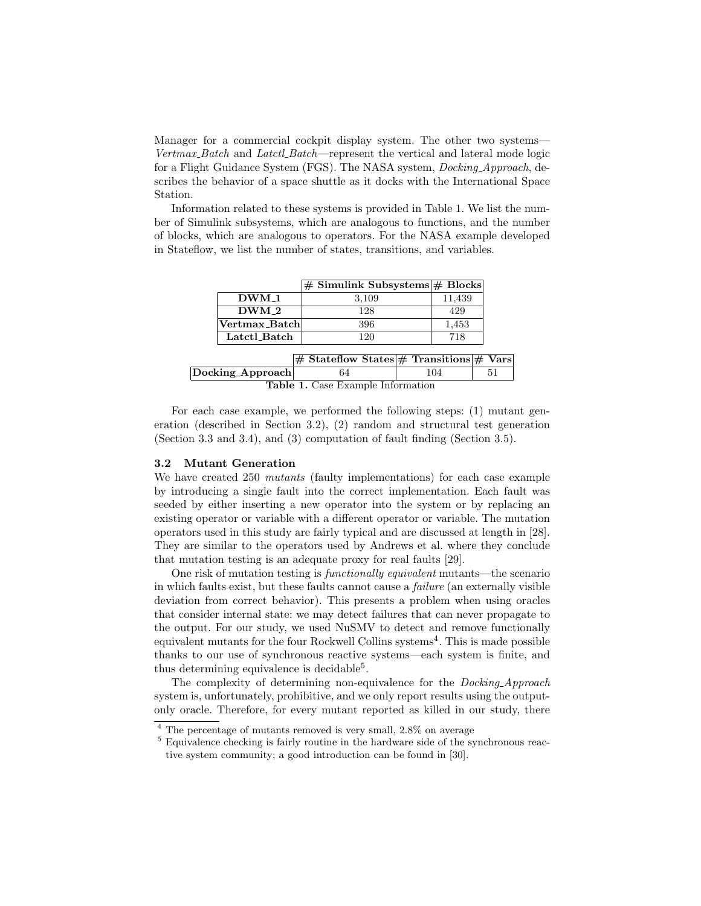Manager for a commercial cockpit display system. The other two systems— Vertmax Batch and Latctl Batch—represent the vertical and lateral mode logic for a Flight Guidance System (FGS). The NASA system, *Docking\_Approach*, describes the behavior of a space shuttle as it docks with the International Space Station.

Information related to these systems is provided in Table 1. We list the number of Simulink subsystems, which are analogous to functions, and the number of blocks, which are analogous to operators. For the NASA example developed in Stateflow, we list the number of states, transitions, and variables.

|                      |               | $#$ Simulink Subsystems $#$ Blocks                        |       |  |        |    |
|----------------------|---------------|-----------------------------------------------------------|-------|--|--------|----|
| $DWM_1$              |               |                                                           | 3,109 |  | 11,439 |    |
| $DWM_2$              |               |                                                           | 128   |  | 429    |    |
|                      | Vertmax_Batch |                                                           | 396   |  |        |    |
| Latctl_Batch         |               | 120                                                       |       |  | 718    |    |
|                      |               |                                                           |       |  |        |    |
|                      |               | $\frac{1}{2}$ Stateflow States $\#$ Transitions $\#$ Vars |       |  |        |    |
| $Docking\_Approadel$ |               | 64                                                        |       |  | 104    | 51 |



For each case example, we performed the following steps: (1) mutant generation (described in Section 3.2), (2) random and structural test generation (Section 3.3 and 3.4), and (3) computation of fault finding (Section 3.5).

#### 3.2 Mutant Generation

We have created 250 *mutants* (faulty implementations) for each case example by introducing a single fault into the correct implementation. Each fault was seeded by either inserting a new operator into the system or by replacing an existing operator or variable with a different operator or variable. The mutation operators used in this study are fairly typical and are discussed at length in [28]. They are similar to the operators used by Andrews et al. where they conclude that mutation testing is an adequate proxy for real faults [29].

One risk of mutation testing is functionally equivalent mutants—the scenario in which faults exist, but these faults cannot cause a failure (an externally visible deviation from correct behavior). This presents a problem when using oracles that consider internal state: we may detect failures that can never propagate to the output. For our study, we used NuSMV to detect and remove functionally equivalent mutants for the four Rockwell Collins systems<sup>4</sup>. This is made possible thanks to our use of synchronous reactive systems—each system is finite, and thus determining equivalence is decidable<sup>5</sup>.

The complexity of determining non-equivalence for the Docking Approach system is, unfortunately, prohibitive, and we only report results using the outputonly oracle. Therefore, for every mutant reported as killed in our study, there

<sup>4</sup> The percentage of mutants removed is very small, 2.8% on average

<sup>5</sup> Equivalence checking is fairly routine in the hardware side of the synchronous reactive system community; a good introduction can be found in [30].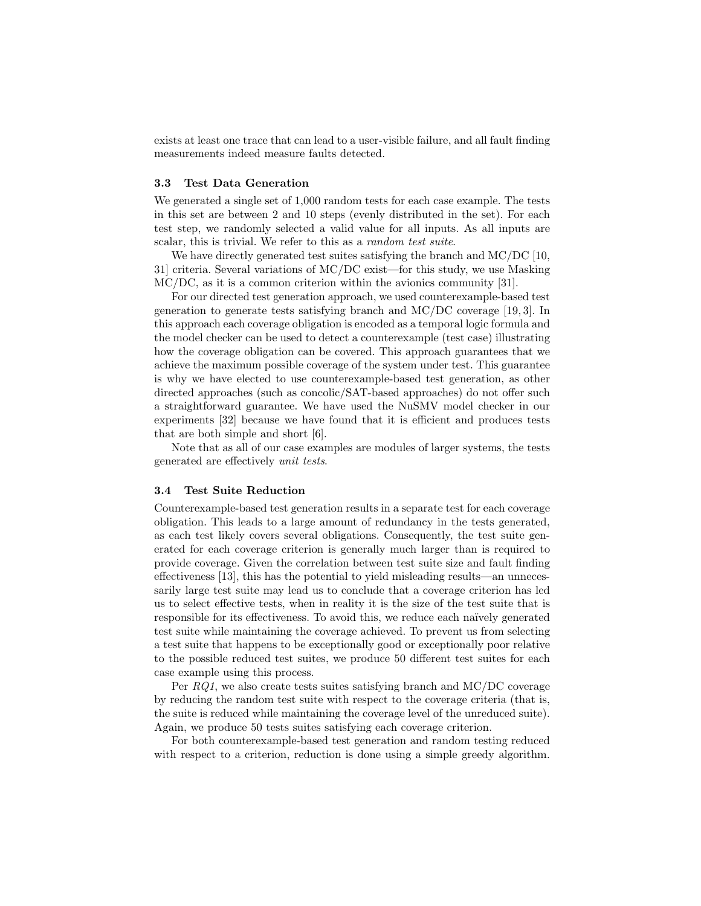exists at least one trace that can lead to a user-visible failure, and all fault finding measurements indeed measure faults detected.

#### 3.3 Test Data Generation

We generated a single set of 1,000 random tests for each case example. The tests in this set are between 2 and 10 steps (evenly distributed in the set). For each test step, we randomly selected a valid value for all inputs. As all inputs are scalar, this is trivial. We refer to this as a *random test suite*.

We have directly generated test suites satisfying the branch and MC/DC [10, 31] criteria. Several variations of MC/DC exist—for this study, we use Masking MC/DC, as it is a common criterion within the avionics community [31].

For our directed test generation approach, we used counterexample-based test generation to generate tests satisfying branch and MC/DC coverage [19, 3]. In this approach each coverage obligation is encoded as a temporal logic formula and the model checker can be used to detect a counterexample (test case) illustrating how the coverage obligation can be covered. This approach guarantees that we achieve the maximum possible coverage of the system under test. This guarantee is why we have elected to use counterexample-based test generation, as other directed approaches (such as concolic/SAT-based approaches) do not offer such a straightforward guarantee. We have used the NuSMV model checker in our experiments [32] because we have found that it is efficient and produces tests that are both simple and short [6].

Note that as all of our case examples are modules of larger systems, the tests generated are effectively unit tests.

#### 3.4 Test Suite Reduction

Counterexample-based test generation results in a separate test for each coverage obligation. This leads to a large amount of redundancy in the tests generated, as each test likely covers several obligations. Consequently, the test suite generated for each coverage criterion is generally much larger than is required to provide coverage. Given the correlation between test suite size and fault finding effectiveness [13], this has the potential to yield misleading results—an unnecessarily large test suite may lead us to conclude that a coverage criterion has led us to select effective tests, when in reality it is the size of the test suite that is responsible for its effectiveness. To avoid this, we reduce each naïvely generated test suite while maintaining the coverage achieved. To prevent us from selecting a test suite that happens to be exceptionally good or exceptionally poor relative to the possible reduced test suites, we produce 50 different test suites for each case example using this process.

Per  $RQ1$ , we also create tests suites satisfying branch and MC/DC coverage by reducing the random test suite with respect to the coverage criteria (that is, the suite is reduced while maintaining the coverage level of the unreduced suite). Again, we produce 50 tests suites satisfying each coverage criterion.

For both counterexample-based test generation and random testing reduced with respect to a criterion, reduction is done using a simple greedy algorithm.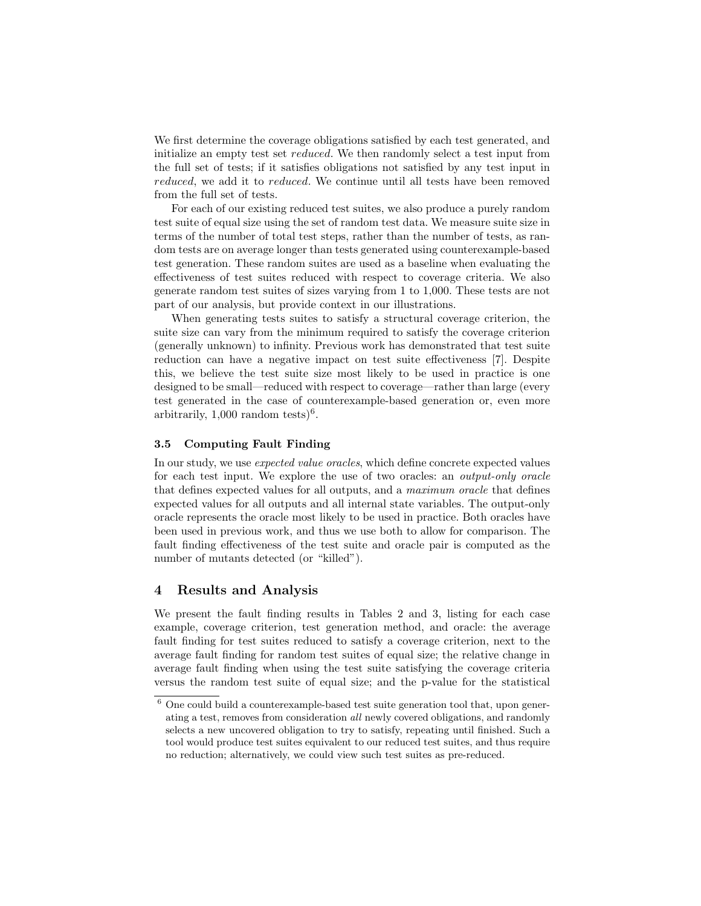We first determine the coverage obligations satisfied by each test generated, and initialize an empty test set reduced. We then randomly select a test input from the full set of tests; if it satisfies obligations not satisfied by any test input in reduced, we add it to reduced. We continue until all tests have been removed from the full set of tests.

For each of our existing reduced test suites, we also produce a purely random test suite of equal size using the set of random test data. We measure suite size in terms of the number of total test steps, rather than the number of tests, as random tests are on average longer than tests generated using counterexample-based test generation. These random suites are used as a baseline when evaluating the effectiveness of test suites reduced with respect to coverage criteria. We also generate random test suites of sizes varying from 1 to 1,000. These tests are not part of our analysis, but provide context in our illustrations.

When generating tests suites to satisfy a structural coverage criterion, the suite size can vary from the minimum required to satisfy the coverage criterion (generally unknown) to infinity. Previous work has demonstrated that test suite reduction can have a negative impact on test suite effectiveness [7]. Despite this, we believe the test suite size most likely to be used in practice is one designed to be small—reduced with respect to coverage—rather than large (every test generated in the case of counterexample-based generation or, even more arbitrarily,  $1,000$  random tests)<sup>6</sup>.

## 3.5 Computing Fault Finding

In our study, we use expected value oracles, which define concrete expected values for each test input. We explore the use of two oracles: an output-only oracle that defines expected values for all outputs, and a maximum oracle that defines expected values for all outputs and all internal state variables. The output-only oracle represents the oracle most likely to be used in practice. Both oracles have been used in previous work, and thus we use both to allow for comparison. The fault finding effectiveness of the test suite and oracle pair is computed as the number of mutants detected (or "killed").

# 4 Results and Analysis

We present the fault finding results in Tables 2 and 3, listing for each case example, coverage criterion, test generation method, and oracle: the average fault finding for test suites reduced to satisfy a coverage criterion, next to the average fault finding for random test suites of equal size; the relative change in average fault finding when using the test suite satisfying the coverage criteria versus the random test suite of equal size; and the p-value for the statistical

 $6$  One could build a counterexample-based test suite generation tool that, upon generating a test, removes from consideration all newly covered obligations, and randomly selects a new uncovered obligation to try to satisfy, repeating until finished. Such a tool would produce test suites equivalent to our reduced test suites, and thus require no reduction; alternatively, we could view such test suites as pre-reduced.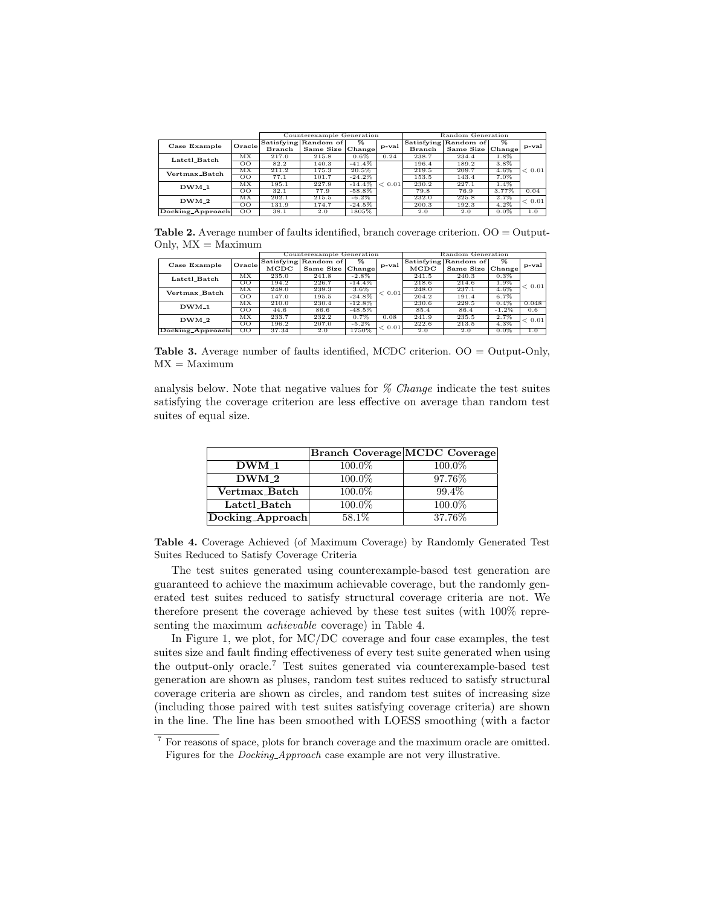|                  |                | Counterexample Generation |                      |           |        | Random Generation |                      |                              |                           |
|------------------|----------------|---------------------------|----------------------|-----------|--------|-------------------|----------------------|------------------------------|---------------------------|
| Case Example     | Oracle         |                           | Satisfying Random of | %         | p-val. |                   | Satisfying Random of | $\overline{\mathscr{D}}_{0}$ | p-val                     |
|                  |                | Branch                    | Same Size Change     |           |        | Branch            | Same Size            | Change <sup>1</sup>          |                           |
| Latetl_Batch     | MX             | 217.0                     | 215.8                | $0.6\%$   | 0.24   | 238.7             | 234.4                | 1.8%                         |                           |
|                  | $_{\rm OO}$    | 82.2                      | 140.3                | $-41.4\%$ |        | 196.4             | 189.2                | $3.8\%$                      |                           |
| Vertmax_Batch    | ΜХ             | 211.2                     | 175.3                | $20.5\%$  |        | 219.5             | 209.7                | 4.6%                         | ${}< 0.01$                |
|                  | $\overline{O}$ | 77.1                      | 101.7                | $-24.2\%$ |        | 153.5             | 143.4                | 7.0%                         |                           |
| $DWM_1$          | MX             | 195.1                     | 227.9                | $-14.4\%$ | < 0.01 | 230.2             | 227.1                | $1.4\%$                      |                           |
|                  | $\overline{O}$ | 32.1                      | 77.9                 | $-58.8\%$ |        | 79.8              | 76.9                 | $3.77\%$                     |                           |
| $DWM_2$          | MX             | 202.1                     | 215.5                | $-6.2\%$  |        | 232.0             | 225.8                | $2.7\%$                      |                           |
|                  | $\overline{O}$ | 131.9                     | 174.7                | $-24.5\%$ |        | 200.3             | 192.3                | $4.2\%$                      | 0.04<br>${}< 0.01$<br>1.0 |
| Docking_Approach | $\overline{O}$ | 38.1                      | 2.0                  | 1805%     |        | 2.0               | 2.0                  | $0.0\%$                      |                           |

Table 2. Average number of faults identified, branch coverage criterion. OO = Output-Only,  $MX = Maximum$ 

|                  |                 | Counterexample Generation |                      |                     |             | Random Generation |                      |          |        |
|------------------|-----------------|---------------------------|----------------------|---------------------|-------------|-------------------|----------------------|----------|--------|
| Case Example     | Oracle          |                           | Satisfying Random of | $\%$                | p-val       |                   | Satisfying Random of | $\%$     | p-val  |
|                  |                 | MCDC                      | Same Size            | Change <sup>1</sup> |             | MCDC              | Same Size            | Change   |        |
| Latetl_Batch     | MХ              | 235.0                     | 241.8                | $-2.8\%$            |             | 241.5             | 240.3                | $0.3\%$  | < 0.01 |
|                  | $_{\rm OO}$     | 194.2                     | 226.7                | $-14.4\%$           |             | 218.6             | 214.6                | $1.9\%$  |        |
| Vertmax_Batch    | MX              | 248.0                     | 239.3                | $3.6\%$             | ${}_{0.01}$ | 248.0             | 237.1                | 4.6%     |        |
|                  | $\overline{O}O$ | 147.0                     | 195.5                | $-24.8\%$           |             | 204.2             | 191.4                | $6.7\%$  |        |
| $DWM_1$          | MX              | 210.0                     | 230.4                | $-12.8\%$           |             | 230.6             | 229.5                | $0.4\%$  | 0.048  |
|                  | $\overline{O}$  | 44.6                      | 86.6                 | $-48.5\%$           |             | 85.4              | 86.4                 | $-1.2\%$ | 0.6    |
| $DWM_2$          | MX              | 233.7                     | 232.2                | $0.7\%$             | 0.08        | 241.9             | 235.5                | $2.7\%$  | < 0.01 |
|                  | $\overline{O}O$ | 196.2                     | 207.0                | $-5.2\%$            | ${}< 0.01$  | 222.6             | 213.5                | $4.3\%$  |        |
| Docking_Approach | $\overline{O}O$ | 37.34                     | 2.0                  | 1750%               |             | 2.0               | 2.0                  | $0.0\%$  | 1.0    |

Table 3. Average number of faults identified, MCDC criterion. OO = Output-Only,  $MX = Maximum$ 

analysis below. Note that negative values for % Change indicate the test suites satisfying the coverage criterion are less effective on average than random test suites of equal size.

|                  | Branch Coverage MCDC Coverage |        |
|------------------|-------------------------------|--------|
| $DWM_1$          | 100.0%                        | 100.0% |
| DWM 2            | 100.0%                        | 97.76% |
| Vertmax_Batch    | 100.0%                        | 99.4%  |
| Latctl_Batch     | 100.0%                        | 100.0% |
| Docking_Approach | 58.1%                         | 37.76% |

Table 4. Coverage Achieved (of Maximum Coverage) by Randomly Generated Test Suites Reduced to Satisfy Coverage Criteria

The test suites generated using counterexample-based test generation are guaranteed to achieve the maximum achievable coverage, but the randomly generated test suites reduced to satisfy structural coverage criteria are not. We therefore present the coverage achieved by these test suites (with 100% representing the maximum achievable coverage) in Table 4.

In Figure 1, we plot, for MC/DC coverage and four case examples, the test suites size and fault finding effectiveness of every test suite generated when using the output-only oracle.<sup>7</sup> Test suites generated via counterexample-based test generation are shown as pluses, random test suites reduced to satisfy structural coverage criteria are shown as circles, and random test suites of increasing size (including those paired with test suites satisfying coverage criteria) are shown in the line. The line has been smoothed with LOESS smoothing (with a factor

<sup>7</sup> For reasons of space, plots for branch coverage and the maximum oracle are omitted. Figures for the *Docking\_Approach* case example are not very illustrative.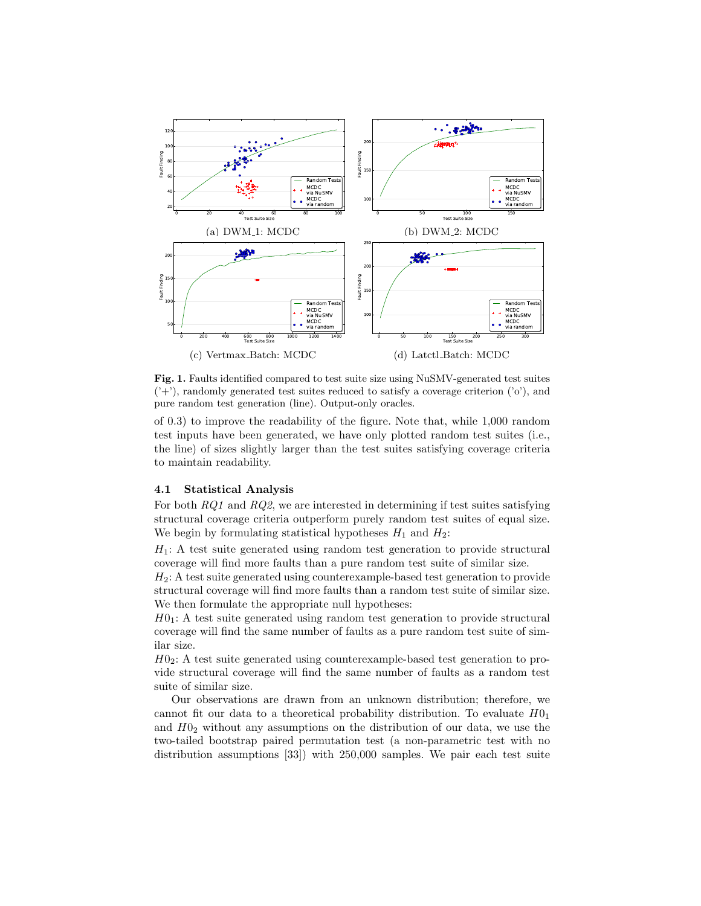

Fig. 1. Faults identified compared to test suite size using NuSMV-generated test suites  $('+')$ , randomly generated test suites reduced to satisfy a coverage criterion  $('o')$ , and pure random test generation (line). Output-only oracles.

of 0.3) to improve the readability of the figure. Note that, while 1,000 random test inputs have been generated, we have only plotted random test suites (i.e., the line) of sizes slightly larger than the test suites satisfying coverage criteria to maintain readability.

## 4.1 Statistical Analysis

For both  $RQ1$  and  $RQ2$ , we are interested in determining if test suites satisfying structural coverage criteria outperform purely random test suites of equal size. We begin by formulating statistical hypotheses  $H_1$  and  $H_2$ :

 $H_1$ : A test suite generated using random test generation to provide structural coverage will find more faults than a pure random test suite of similar size.

 $H_2$ : A test suite generated using counterexample-based test generation to provide structural coverage will find more faults than a random test suite of similar size. We then formulate the appropriate null hypotheses:

 $H0_1$ : A test suite generated using random test generation to provide structural coverage will find the same number of faults as a pure random test suite of similar size.

 $H0<sub>2</sub>$ : A test suite generated using counterexample-based test generation to provide structural coverage will find the same number of faults as a random test suite of similar size.

Our observations are drawn from an unknown distribution; therefore, we cannot fit our data to a theoretical probability distribution. To evaluate  $H0<sub>1</sub>$ and  $H_0$ <sub>2</sub> without any assumptions on the distribution of our data, we use the two-tailed bootstrap paired permutation test (a non-parametric test with no distribution assumptions [33]) with 250,000 samples. We pair each test suite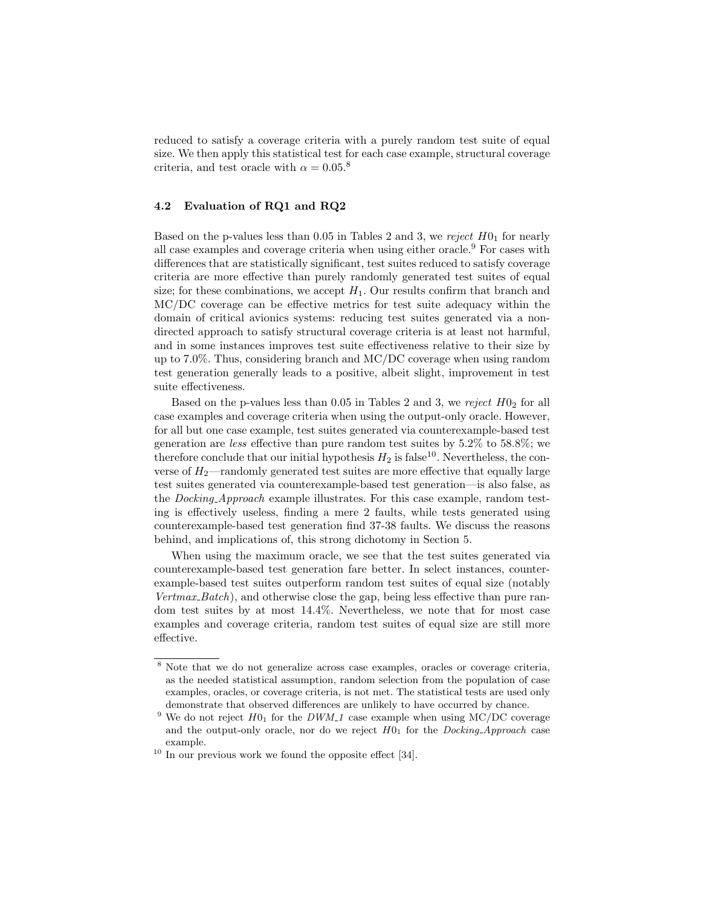reduced to satisfy a coverage criteria with a purely random test suite of equal size. We then apply this statistical test for each case example, structural coverage criteria, and test oracle with  $\alpha = 0.05$ .<sup>8</sup>

## 4.2 Evaluation of RQ1 and RQ2

Based on the p-values less than 0.05 in Tables 2 and 3, we reject  $H0<sub>1</sub>$  for nearly all case examples and coverage criteria when using either oracle.<sup>9</sup> For cases with differences that are statistically significant, test suites reduced to satisfy coverage criteria are more effective than purely randomly generated test suites of equal size; for these combinations, we accept  $H_1$ . Our results confirm that branch and MC/DC coverage can be effective metrics for test suite adequacy within the domain of critical avionics systems: reducing test suites generated via a nondirected approach to satisfy structural coverage criteria is at least not harmful, and in some instances improves test suite effectiveness relative to their size by up to 7.0%. Thus, considering branch and MC/DC coverage when using random test generation generally leads to a positive, albeit slight, improvement in test suite effectiveness.

Based on the p-values less than 0.05 in Tables 2 and 3, we reject  $H0<sub>2</sub>$  for all case examples and coverage criteria when using the output-only oracle. However, for all but one case example, test suites generated via counterexample-based test generation are less effective than pure random test suites by 5.2% to 58.8%; we therefore conclude that our initial hypothesis  $H_2$  is false<sup>10</sup>. Nevertheless, the converse of  $H_2$ —randomly generated test suites are more effective that equally large test suites generated via counterexample-based test generation—is also false, as the Docking Approach example illustrates. For this case example, random testing is effectively useless, finding a mere 2 faults, while tests generated using counterexample-based test generation find 37-38 faults. We discuss the reasons behind, and implications of, this strong dichotomy in Section 5.

When using the maximum oracle, we see that the test suites generated via counterexample-based test generation fare better. In select instances, counterexample-based test suites outperform random test suites of equal size (notably Vertmax\_Batch), and otherwise close the gap, being less effective than pure random test suites by at most 14.4%. Nevertheless, we note that for most case examples and coverage criteria, random test suites of equal size are still more effective.

<sup>8</sup> Note that we do not generalize across case examples, oracles or coverage criteria, as the needed statistical assumption, random selection from the population of case examples, oracles, or coverage criteria, is not met. The statistical tests are used only demonstrate that observed differences are unlikely to have occurred by chance.

<sup>&</sup>lt;sup>9</sup> We do not reject  $H0<sub>1</sub>$  for the  $DWM_1$  case example when using MC/DC coverage and the output-only oracle, nor do we reject  $H0<sub>1</sub>$  for the *Docking Approach* case example.

 $10$  In our previous work we found the opposite effect [34].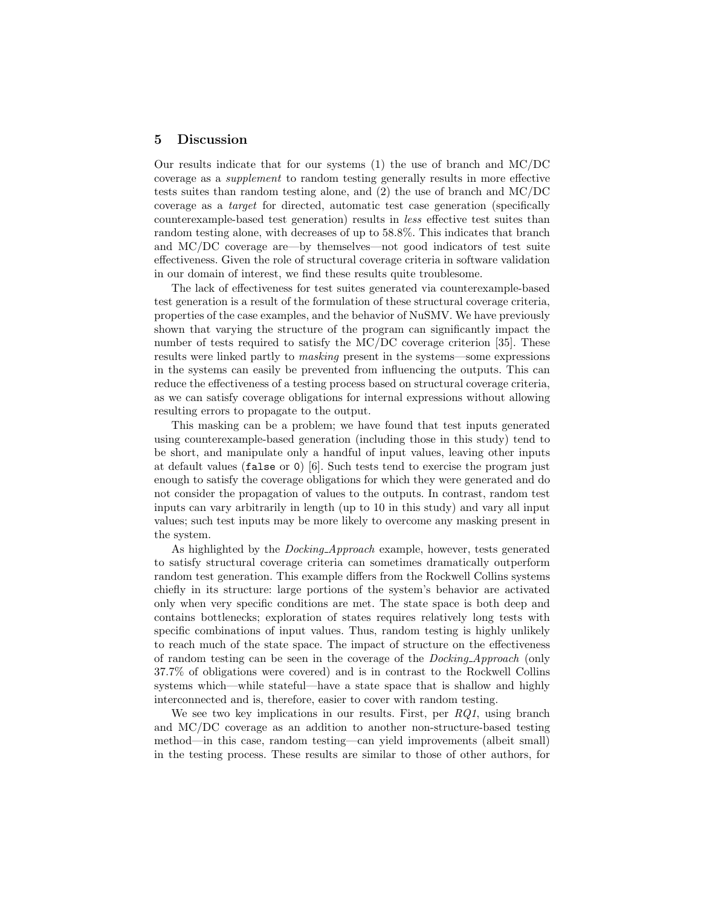## 5 Discussion

Our results indicate that for our systems (1) the use of branch and MC/DC coverage as a supplement to random testing generally results in more effective tests suites than random testing alone, and (2) the use of branch and MC/DC coverage as a target for directed, automatic test case generation (specifically counterexample-based test generation) results in less effective test suites than random testing alone, with decreases of up to 58.8%. This indicates that branch and MC/DC coverage are—by themselves—not good indicators of test suite effectiveness. Given the role of structural coverage criteria in software validation in our domain of interest, we find these results quite troublesome.

The lack of effectiveness for test suites generated via counterexample-based test generation is a result of the formulation of these structural coverage criteria, properties of the case examples, and the behavior of NuSMV. We have previously shown that varying the structure of the program can significantly impact the number of tests required to satisfy the MC/DC coverage criterion [35]. These results were linked partly to masking present in the systems—some expressions in the systems can easily be prevented from influencing the outputs. This can reduce the effectiveness of a testing process based on structural coverage criteria, as we can satisfy coverage obligations for internal expressions without allowing resulting errors to propagate to the output.

This masking can be a problem; we have found that test inputs generated using counterexample-based generation (including those in this study) tend to be short, and manipulate only a handful of input values, leaving other inputs at default values (false or 0) [6]. Such tests tend to exercise the program just enough to satisfy the coverage obligations for which they were generated and do not consider the propagation of values to the outputs. In contrast, random test inputs can vary arbitrarily in length (up to 10 in this study) and vary all input values; such test inputs may be more likely to overcome any masking present in the system.

As highlighted by the *Docking Approach* example, however, tests generated to satisfy structural coverage criteria can sometimes dramatically outperform random test generation. This example differs from the Rockwell Collins systems chiefly in its structure: large portions of the system's behavior are activated only when very specific conditions are met. The state space is both deep and contains bottlenecks; exploration of states requires relatively long tests with specific combinations of input values. Thus, random testing is highly unlikely to reach much of the state space. The impact of structure on the effectiveness of random testing can be seen in the coverage of the Docking Approach (only 37.7% of obligations were covered) and is in contrast to the Rockwell Collins systems which—while stateful—have a state space that is shallow and highly interconnected and is, therefore, easier to cover with random testing.

We see two key implications in our results. First, per  $RQ1$ , using branch and MC/DC coverage as an addition to another non-structure-based testing method—in this case, random testing—can yield improvements (albeit small) in the testing process. These results are similar to those of other authors, for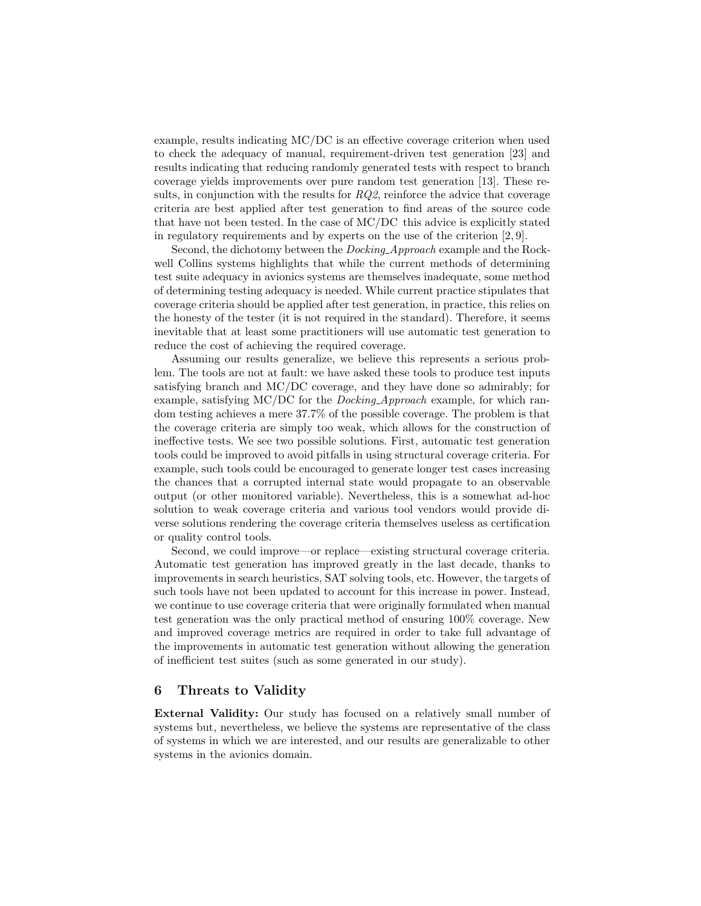example, results indicating MC/DC is an effective coverage criterion when used to check the adequacy of manual, requirement-driven test generation [23] and results indicating that reducing randomly generated tests with respect to branch coverage yields improvements over pure random test generation [13]. These results, in conjunction with the results for  $RQ\mathcal{Q}$ , reinforce the advice that coverage criteria are best applied after test generation to find areas of the source code that have not been tested. In the case of MC/DC this advice is explicitly stated in regulatory requirements and by experts on the use of the criterion [2, 9].

Second, the dichotomy between the Docking Approach example and the Rockwell Collins systems highlights that while the current methods of determining test suite adequacy in avionics systems are themselves inadequate, some method of determining testing adequacy is needed. While current practice stipulates that coverage criteria should be applied after test generation, in practice, this relies on the honesty of the tester (it is not required in the standard). Therefore, it seems inevitable that at least some practitioners will use automatic test generation to reduce the cost of achieving the required coverage.

Assuming our results generalize, we believe this represents a serious problem. The tools are not at fault: we have asked these tools to produce test inputs satisfying branch and MC/DC coverage, and they have done so admirably; for example, satisfying MC/DC for the *Docking Approach* example, for which random testing achieves a mere 37.7% of the possible coverage. The problem is that the coverage criteria are simply too weak, which allows for the construction of ineffective tests. We see two possible solutions. First, automatic test generation tools could be improved to avoid pitfalls in using structural coverage criteria. For example, such tools could be encouraged to generate longer test cases increasing the chances that a corrupted internal state would propagate to an observable output (or other monitored variable). Nevertheless, this is a somewhat ad-hoc solution to weak coverage criteria and various tool vendors would provide diverse solutions rendering the coverage criteria themselves useless as certification or quality control tools.

Second, we could improve—or replace—existing structural coverage criteria. Automatic test generation has improved greatly in the last decade, thanks to improvements in search heuristics, SAT solving tools, etc. However, the targets of such tools have not been updated to account for this increase in power. Instead, we continue to use coverage criteria that were originally formulated when manual test generation was the only practical method of ensuring 100% coverage. New and improved coverage metrics are required in order to take full advantage of the improvements in automatic test generation without allowing the generation of inefficient test suites (such as some generated in our study).

## 6 Threats to Validity

External Validity: Our study has focused on a relatively small number of systems but, nevertheless, we believe the systems are representative of the class of systems in which we are interested, and our results are generalizable to other systems in the avionics domain.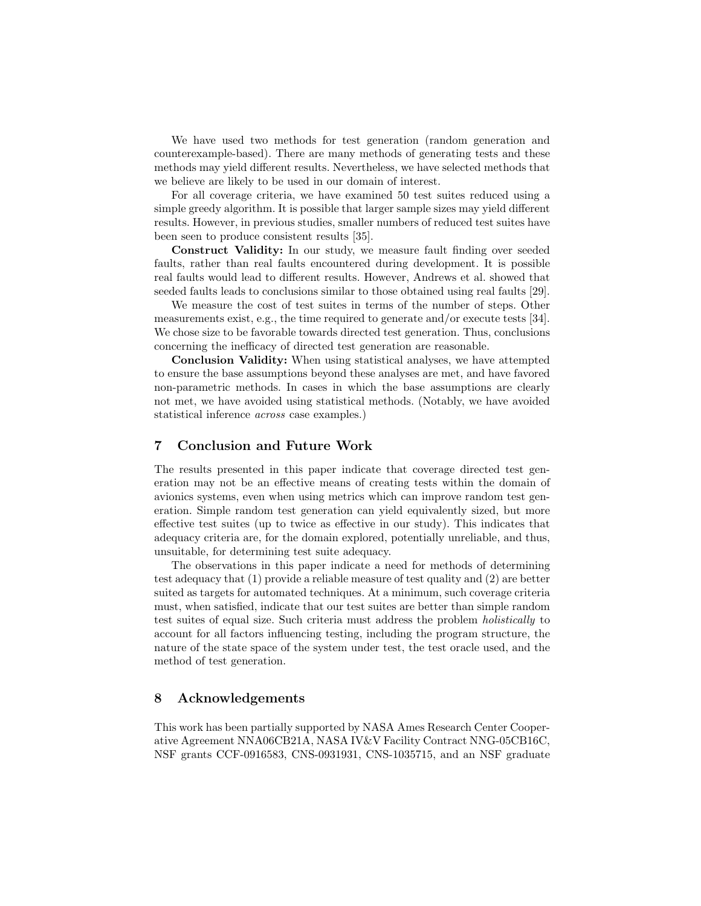We have used two methods for test generation (random generation and counterexample-based). There are many methods of generating tests and these methods may yield different results. Nevertheless, we have selected methods that we believe are likely to be used in our domain of interest.

For all coverage criteria, we have examined 50 test suites reduced using a simple greedy algorithm. It is possible that larger sample sizes may yield different results. However, in previous studies, smaller numbers of reduced test suites have been seen to produce consistent results [35].

Construct Validity: In our study, we measure fault finding over seeded faults, rather than real faults encountered during development. It is possible real faults would lead to different results. However, Andrews et al. showed that seeded faults leads to conclusions similar to those obtained using real faults [29].

We measure the cost of test suites in terms of the number of steps. Other measurements exist, e.g., the time required to generate and/or execute tests [34]. We chose size to be favorable towards directed test generation. Thus, conclusions concerning the inefficacy of directed test generation are reasonable.

Conclusion Validity: When using statistical analyses, we have attempted to ensure the base assumptions beyond these analyses are met, and have favored non-parametric methods. In cases in which the base assumptions are clearly not met, we have avoided using statistical methods. (Notably, we have avoided statistical inference across case examples.)

# 7 Conclusion and Future Work

The results presented in this paper indicate that coverage directed test generation may not be an effective means of creating tests within the domain of avionics systems, even when using metrics which can improve random test generation. Simple random test generation can yield equivalently sized, but more effective test suites (up to twice as effective in our study). This indicates that adequacy criteria are, for the domain explored, potentially unreliable, and thus, unsuitable, for determining test suite adequacy.

The observations in this paper indicate a need for methods of determining test adequacy that (1) provide a reliable measure of test quality and (2) are better suited as targets for automated techniques. At a minimum, such coverage criteria must, when satisfied, indicate that our test suites are better than simple random test suites of equal size. Such criteria must address the problem holistically to account for all factors influencing testing, including the program structure, the nature of the state space of the system under test, the test oracle used, and the method of test generation.

# 8 Acknowledgements

This work has been partially supported by NASA Ames Research Center Cooperative Agreement NNA06CB21A, NASA IV&V Facility Contract NNG-05CB16C, NSF grants CCF-0916583, CNS-0931931, CNS-1035715, and an NSF graduate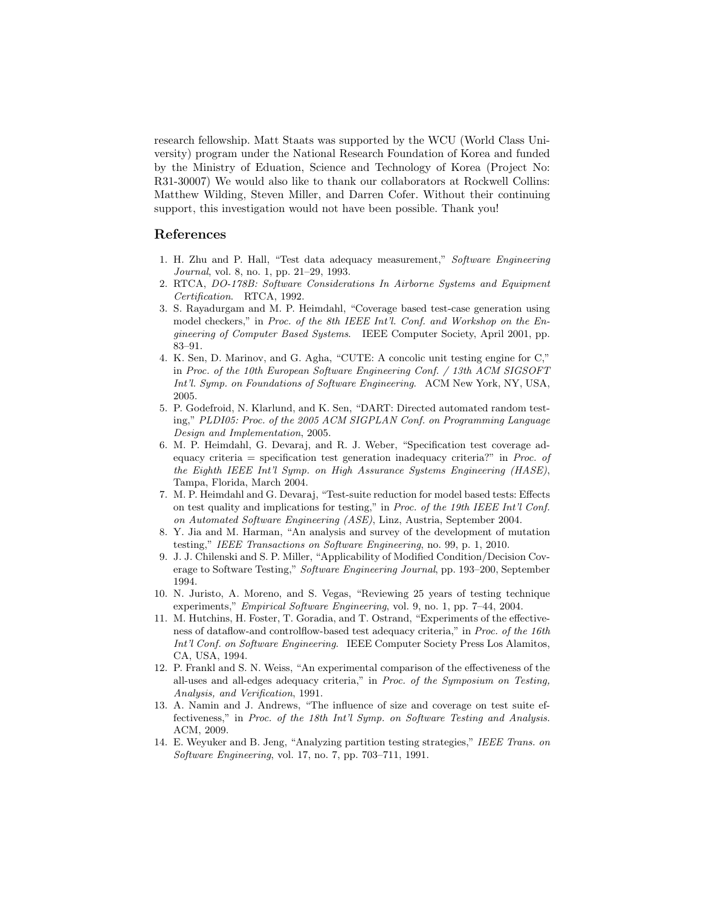research fellowship. Matt Staats was supported by the WCU (World Class University) program under the National Research Foundation of Korea and funded by the Ministry of Eduation, Science and Technology of Korea (Project No: R31-30007) We would also like to thank our collaborators at Rockwell Collins: Matthew Wilding, Steven Miller, and Darren Cofer. Without their continuing support, this investigation would not have been possible. Thank you!

### References

- 1. H. Zhu and P. Hall, "Test data adequacy measurement," Software Engineering Journal, vol. 8, no. 1, pp. 21–29, 1993.
- 2. RTCA, DO-178B: Software Considerations In Airborne Systems and Equipment Certification. RTCA, 1992.
- 3. S. Rayadurgam and M. P. Heimdahl, "Coverage based test-case generation using model checkers," in Proc. of the 8th IEEE Int'l. Conf. and Workshop on the Engineering of Computer Based Systems. IEEE Computer Society, April 2001, pp. 83–91.
- 4. K. Sen, D. Marinov, and G. Agha, "CUTE: A concolic unit testing engine for C," in Proc. of the 10th European Software Engineering Conf. / 13th ACM SIGSOFT Int'l. Symp. on Foundations of Software Engineering. ACM New York, NY, USA, 2005.
- 5. P. Godefroid, N. Klarlund, and K. Sen, "DART: Directed automated random testing," PLDI05: Proc. of the 2005 ACM SIGPLAN Conf. on Programming Language Design and Implementation, 2005.
- 6. M. P. Heimdahl, G. Devaraj, and R. J. Weber, "Specification test coverage adequacy criteria = specification test generation inadequacy criteria?" in Proc. of the Eighth IEEE Int'l Symp. on High Assurance Systems Engineering (HASE), Tampa, Florida, March 2004.
- 7. M. P. Heimdahl and G. Devaraj, "Test-suite reduction for model based tests: Effects on test quality and implications for testing," in Proc. of the 19th IEEE Int'l Conf. on Automated Software Engineering (ASE), Linz, Austria, September 2004.
- 8. Y. Jia and M. Harman, "An analysis and survey of the development of mutation testing," IEEE Transactions on Software Engineering, no. 99, p. 1, 2010.
- 9. J. J. Chilenski and S. P. Miller, "Applicability of Modified Condition/Decision Coverage to Software Testing," Software Engineering Journal, pp. 193–200, September 1994.
- 10. N. Juristo, A. Moreno, and S. Vegas, "Reviewing 25 years of testing technique experiments," Empirical Software Engineering, vol. 9, no. 1, pp. 7–44, 2004.
- 11. M. Hutchins, H. Foster, T. Goradia, and T. Ostrand, "Experiments of the effectiveness of dataflow-and controlflow-based test adequacy criteria," in Proc. of the 16th Int'l Conf. on Software Engineering. IEEE Computer Society Press Los Alamitos, CA, USA, 1994.
- 12. P. Frankl and S. N. Weiss, "An experimental comparison of the effectiveness of the all-uses and all-edges adequacy criteria," in Proc. of the Symposium on Testing, Analysis, and Verification, 1991.
- 13. A. Namin and J. Andrews, "The influence of size and coverage on test suite effectiveness," in Proc. of the 18th Int'l Symp. on Software Testing and Analysis. ACM, 2009.
- 14. E. Weyuker and B. Jeng, "Analyzing partition testing strategies," IEEE Trans. on Software Engineering, vol. 17, no. 7, pp. 703–711, 1991.